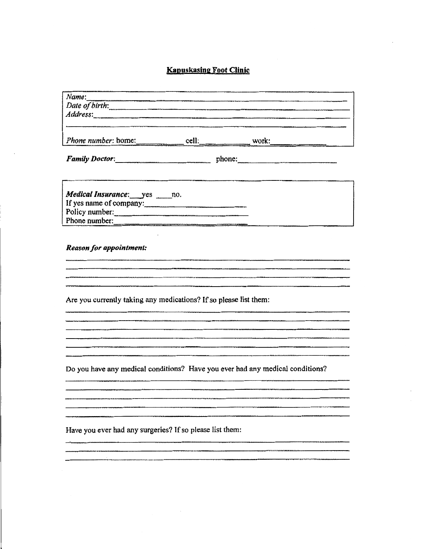## **Kapuskasing Foot Clinic**

| Name:                                                                         |  |  |  |
|-------------------------------------------------------------------------------|--|--|--|
|                                                                               |  |  |  |
| Family Doctor:                                                                |  |  |  |
| Medical Insurance: yes _____ no.<br>If yes name of company:<br>Policy number: |  |  |  |
| Phone number:                                                                 |  |  |  |
|                                                                               |  |  |  |

en en de la commune de la commune de la commune de la commune de la commune de la commune de la commune de la <br>La commune de la commune de la commune de la commune de la commune de la commune de la commune de la commune d

.<br>The top product stay and the comment of the construction of the proposition of the comment of the comment of t

Are you currently taking any medications? If so please list them:

Do you have any medical conditions? Have you ever had any medical conditions?

Have you ever had any surgeries? If so please list them:

.<br>1111 - Prince Prince Maria Maria Maria Maria ao Frantsa. Ao Frantsa. Amin'ny fivondronan-kaominina dia mampias